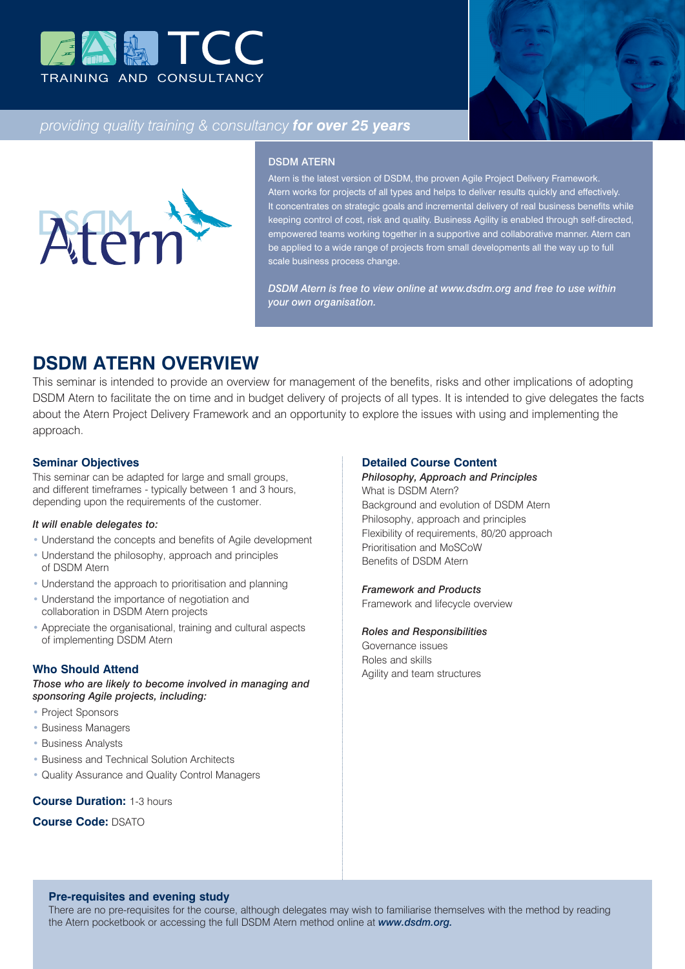



# *providing quality training & consultancy for over 25 years*



#### DSDM ATERN

Atern is the latest version of DSDM, the proven Agile Project Delivery Framework. Atern works for projects of all types and helps to deliver results quickly and effectively. It concentrates on strategic goals and incremental delivery of real business benefits while keeping control of cost, risk and quality. Business Agility is enabled through self-directed, empowered teams working together in a supportive and collaborative manner. Atern can be applied to a wide range of projects from small developments all the way up to full scale business process change.

*DSDM Atern is free to view online at www.dsdm.org and free to use within your own organisation.*

# **DSDM ATERN OVERVIEW**

This seminar is intended to provide an overview for management of the benefits, risks and other implications of adopting DSDM Atern to facilitate the on time and in budget delivery of projects of all types. It is intended to give delegates the facts about the Atern Project Delivery Framework and an opportunity to explore the issues with using and implementing the approach.

#### **Seminar Objectives**

This seminar can be adapted for large and small groups, and different timeframes - typically between 1 and 3 hours, depending upon the requirements of the customer.

## *It will enable delegates to:*

- Understand the concepts and benefits of Agile development
- Understand the philosophy, approach and principles of DSDM Atern
- Understand the approach to prioritisation and planning
- Understand the importance of negotiation and collaboration in DSDM Atern projects
- Appreciate the organisational, training and cultural aspects of implementing DSDM Atern

# **Who Should Attend**

*Those who are likely to become involved in managing and sponsoring Agile projects, including:*

- Project Sponsors
- Business Managers
- Business Analysts
- Business and Technical Solution Architects
- Quality Assurance and Quality Control Managers

# **Course Duration:** 1-3 hours

## **Course Code:** DSATO

#### **Detailed Course Content**

# *Philosophy, Approach and Principles*

What is DSDM Atern? Background and evolution of DSDM Atern Philosophy, approach and principles Flexibility of requirements, 80/20 approach Prioritisation and MoSCoW Benefits of DSDM Atern

#### *Framework and Products*

Framework and lifecycle overview

#### *Roles and Responsibilities*

Governance issues Roles and skills Agility and team structures

# **Pre-requisites and evening study**

There are no pre-requisites for the course, although delegates may wish to familiarise themselves with the method by reading the Atern pocketbook or accessing the full DSDM Atern method online at *www.dsdm.org.*